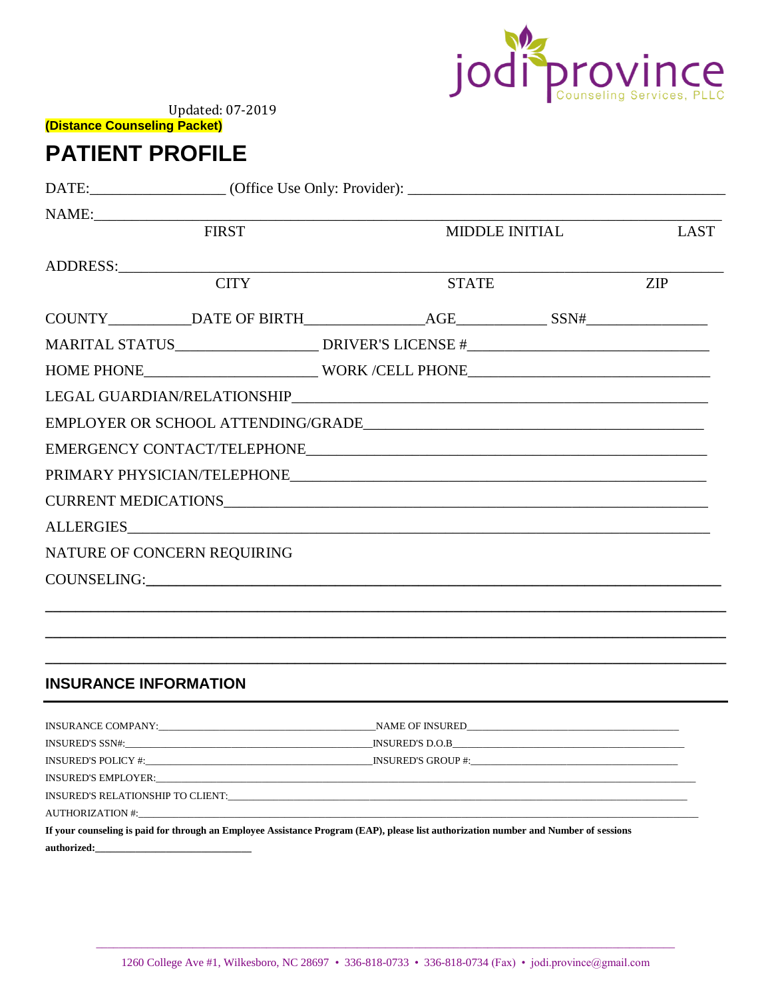

(Distance Counseling Packet)

# **PATIENT PROFILE**

|                              | <b>FIRST</b>                                                                      |  |              | MIDDLE INITIAL | <b>LAST</b> |
|------------------------------|-----------------------------------------------------------------------------------|--|--------------|----------------|-------------|
|                              |                                                                                   |  |              |                |             |
|                              | <b>CITY</b>                                                                       |  | <b>STATE</b> |                | <b>ZIP</b>  |
|                              |                                                                                   |  |              |                |             |
|                              | MARITAL STATUS__________________________DRIVER'S LICENSE #_______________________ |  |              |                |             |
|                              | HOME PHONE_______________________________WORK /CELL PHONE________________________ |  |              |                |             |
|                              |                                                                                   |  |              |                |             |
|                              |                                                                                   |  |              |                |             |
|                              |                                                                                   |  |              |                |             |
|                              |                                                                                   |  |              |                |             |
|                              |                                                                                   |  |              |                |             |
|                              |                                                                                   |  |              |                |             |
| NATURE OF CONCERN REQUIRING  |                                                                                   |  |              |                |             |
|                              | COUNSELING: COUNSELING:                                                           |  |              |                |             |
|                              | ,我们也不能在这里的时候,我们也不能在这里的时候,我们也不能会在这里的时候,我们也不能会在这里的时候,我们也不能会在这里的时候,我们也不能会在这里的时候,我们也不 |  |              |                |             |
|                              |                                                                                   |  |              |                |             |
|                              |                                                                                   |  |              |                |             |
| <b>INSURANCE INFORMATION</b> |                                                                                   |  |              |                |             |
|                              |                                                                                   |  |              |                |             |

| If your counseling is paid for through an Employee Assistance Program (EAP), please list authorization number and Number of sessions |  |  |
|--------------------------------------------------------------------------------------------------------------------------------------|--|--|
| authorized:                                                                                                                          |  |  |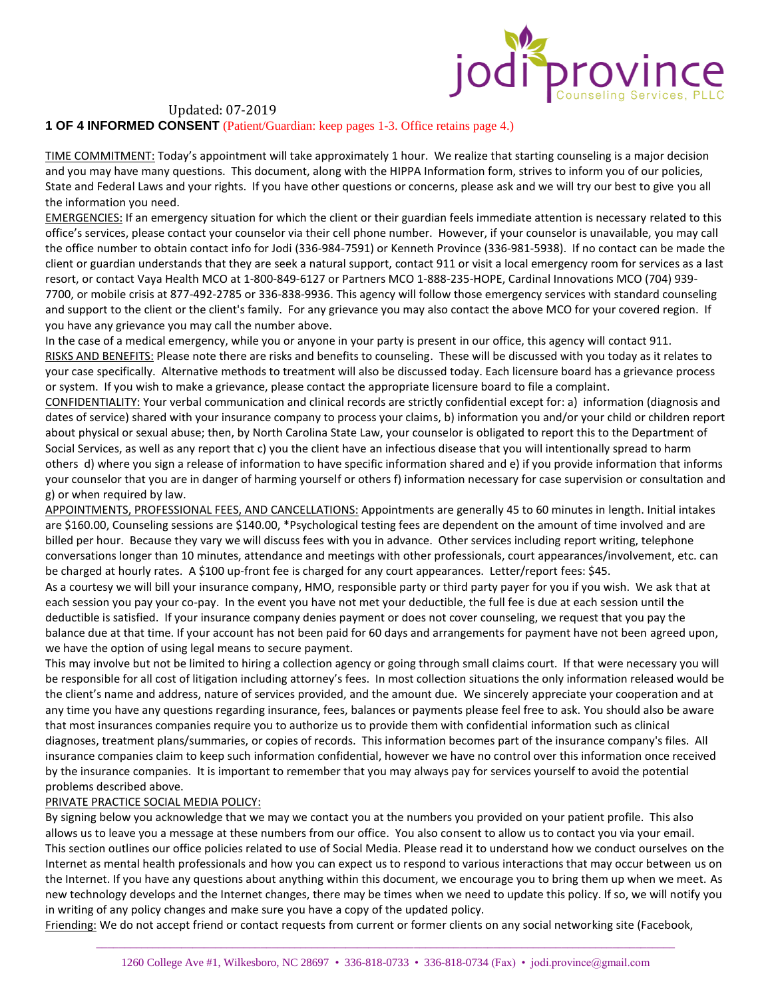

**1 OF 4 INFORMED CONSENT** (Patient/Guardian: keep pages 1-3. Office retains page 4.)

TIME COMMITMENT: Today's appointment will take approximately 1 hour. We realize that starting counseling is a major decision and you may have many questions. This document, along with the HIPPA Information form, strives to inform you of our policies, State and Federal Laws and your rights. If you have other questions or concerns, please ask and we will try our best to give you all the information you need.

EMERGENCIES: If an emergency situation for which the client or their guardian feels immediate attention is necessary related to this office's services, please contact your counselor via their cell phone number. However, if your counselor is unavailable, you may call the office number to obtain contact info for Jodi (336-984-7591) or Kenneth Province (336-981-5938). If no contact can be made the client or guardian understands that they are seek a natural support, contact 911 or visit a local emergency room for services as a last resort, or contact Vaya Health MCO at 1-800-849-6127 or Partners MCO 1-888-235-HOPE, Cardinal Innovations MCO (704) 939- 7700, or mobile crisis at 877-492-2785 or 336-838-9936. This agency will follow those emergency services with standard counseling and support to the client or the client's family. For any grievance you may also contact the above MCO for your covered region. If you have any grievance you may call the number above.

In the case of a medical emergency, while you or anyone in your party is present in our office, this agency will contact 911. RISKS AND BENEFITS: Please note there are risks and benefits to counseling. These will be discussed with you today as it relates to your case specifically. Alternative methods to treatment will also be discussed today. Each licensure board has a grievance process or system. If you wish to make a grievance, please contact the appropriate licensure board to file a complaint.

CONFIDENTIALITY: Your verbal communication and clinical records are strictly confidential except for: a) information (diagnosis and dates of service) shared with your insurance company to process your claims, b) information you and/or your child or children report about physical or sexual abuse; then, by North Carolina State Law, your counselor is obligated to report this to the Department of Social Services, as well as any report that c) you the client have an infectious disease that you will intentionally spread to harm others d) where you sign a release of information to have specific information shared and e) if you provide information that informs your counselor that you are in danger of harming yourself or others f) information necessary for case supervision or consultation and g) or when required by law.

APPOINTMENTS, PROFESSIONAL FEES, AND CANCELLATIONS: Appointments are generally 45 to 60 minutes in length. Initial intakes are \$160.00, Counseling sessions are \$140.00, \*Psychological testing fees are dependent on the amount of time involved and are billed per hour. Because they vary we will discuss fees with you in advance. Other services including report writing, telephone conversations longer than 10 minutes, attendance and meetings with other professionals, court appearances/involvement, etc. can be charged at hourly rates. A \$100 up-front fee is charged for any court appearances. Letter/report fees: \$45.

As a courtesy we will bill your insurance company, HMO, responsible party or third party payer for you if you wish. We ask that at each session you pay your co-pay. In the event you have not met your deductible, the full fee is due at each session until the deductible is satisfied. If your insurance company denies payment or does not cover counseling, we request that you pay the balance due at that time. If your account has not been paid for 60 days and arrangements for payment have not been agreed upon, we have the option of using legal means to secure payment.

This may involve but not be limited to hiring a collection agency or going through small claims court. If that were necessary you will be responsible for all cost of litigation including attorney's fees. In most collection situations the only information released would be the client's name and address, nature of services provided, and the amount due. We sincerely appreciate your cooperation and at any time you have any questions regarding insurance, fees, balances or payments please feel free to ask. You should also be aware that most insurances companies require you to authorize us to provide them with confidential information such as clinical diagnoses, treatment plans/summaries, or copies of records. This information becomes part of the insurance company's files. All insurance companies claim to keep such information confidential, however we have no control over this information once received by the insurance companies. It is important to remember that you may always pay for services yourself to avoid the potential problems described above.

#### PRIVATE PRACTICE SOCIAL MEDIA POLICY:

By signing below you acknowledge that we may we contact you at the numbers you provided on your patient profile. This also allows us to leave you a message at these numbers from our office. You also consent to allow us to contact you via your email. This section outlines our office policies related to use of Social Media. Please read it to understand how we conduct ourselves on the Internet as mental health professionals and how you can expect us to respond to various interactions that may occur between us on the Internet. If you have any questions about anything within this document, we encourage you to bring them up when we meet. As new technology develops and the Internet changes, there may be times when we need to update this policy. If so, we will notify you in writing of any policy changes and make sure you have a copy of the updated policy.

Friending: We do not accept friend or contact requests from current or former clients on any social networking site (Facebook,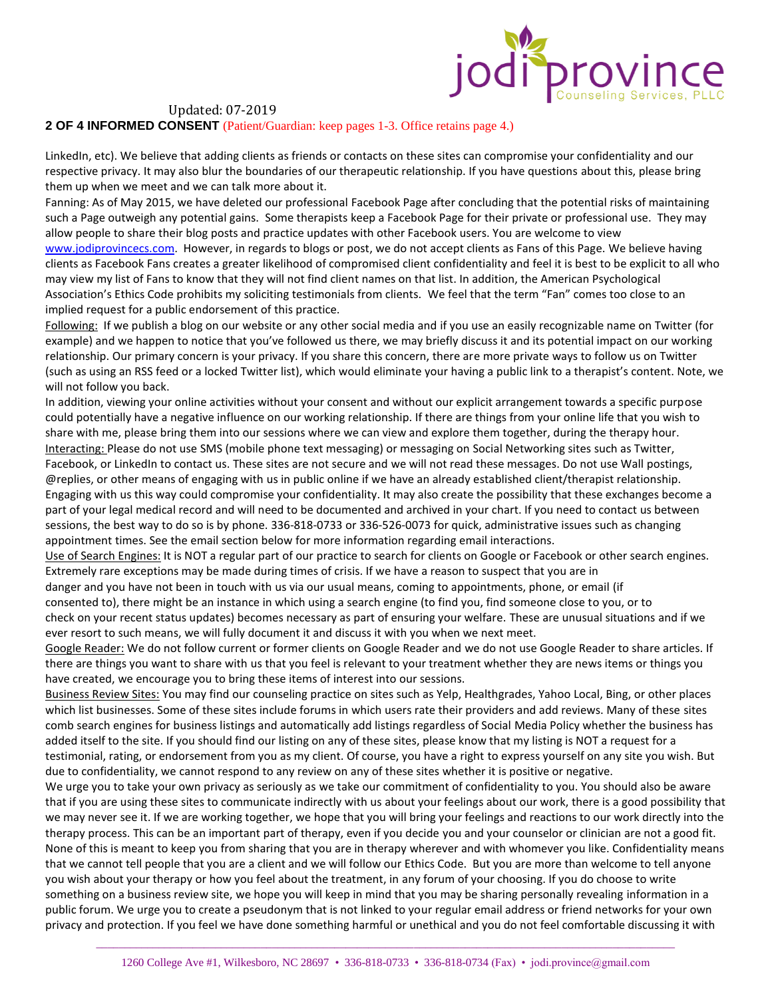

### **2 OF 4 INFORMED CONSENT** (Patient/Guardian: keep pages 1-3. Office retains page 4.)

LinkedIn, etc). We believe that adding clients as friends or contacts on these sites can compromise your confidentiality and our respective privacy. It may also blur the boundaries of our therapeutic relationship. If you have questions about this, please bring them up when we meet and we can talk more about it.

Fanning: As of May 2015, we have deleted our professional Facebook Page after concluding that the potential risks of maintaining such a Page outweigh any potential gains. Some therapists keep a Facebook Page for their private or professional use. They may allow people to share their blog posts and practice updates with other Facebook users. You are welcome to view [www.jodiprovincecs.com.](http://www.jodiprovincecs.com/) However, in regards to blogs or post, we do not accept clients as Fans of this Page. We believe having clients as Facebook Fans creates a greater likelihood of compromised client confidentiality and feel it is best to be explicit to all who may view my list of Fans to know that they will not find client names on that list. In addition, the American Psychological Association's Ethics Code prohibits my soliciting testimonials from clients. We feel that the term "Fan" comes too close to an implied request for a public endorsement of this practice.

Following: If we publish a blog on our website or any other social media and if you use an easily recognizable name on Twitter (for example) and we happen to notice that you've followed us there, we may briefly discuss it and its potential impact on our working relationship. Our primary concern is your privacy. If you share this concern, there are more private ways to follow us on Twitter (such as using an RSS feed or a locked Twitter list), which would eliminate your having a public link to a therapist's content. Note, we will not follow you back.

In addition, viewing your online activities without your consent and without our explicit arrangement towards a specific purpose could potentially have a negative influence on our working relationship. If there are things from your online life that you wish to share with me, please bring them into our sessions where we can view and explore them together, during the therapy hour. Interacting: Please do not use SMS (mobile phone text messaging) or messaging on Social Networking sites such as Twitter, Facebook, or LinkedIn to contact us. These sites are not secure and we will not read these messages. Do not use Wall postings, @replies, or other means of engaging with us in public online if we have an already established client/therapist relationship. Engaging with us this way could compromise your confidentiality. It may also create the possibility that these exchanges become a part of your legal medical record and will need to be documented and archived in your chart. If you need to contact us between sessions, the best way to do so is by phone. 336-818-0733 or 336-526-0073 for quick, administrative issues such as changing appointment times. See the email section below for more information regarding email interactions.

Use of Search Engines: It is NOT a regular part of our practice to search for clients on Google or Facebook or other search engines. Extremely rare exceptions may be made during times of crisis. If we have a reason to suspect that you are in

danger and you have not been in touch with us via our usual means, coming to appointments, phone, or email (if consented to), there might be an instance in which using a search engine (to find you, find someone close to you, or to check on your recent status updates) becomes necessary as part of ensuring your welfare. These are unusual situations and if we ever resort to such means, we will fully document it and discuss it with you when we next meet.

Google Reader: We do not follow current or former clients on Google Reader and we do not use Google Reader to share articles. If there are things you want to share with us that you feel is relevant to your treatment whether they are news items or things you have created, we encourage you to bring these items of interest into our sessions.

Business Review Sites: You may find our counseling practice on sites such as Yelp, Healthgrades, Yahoo Local, Bing, or other places which list businesses. Some of these sites include forums in which users rate their providers and add reviews. Many of these sites comb search engines for business listings and automatically add listings regardless of Social Media Policy whether the business has added itself to the site. If you should find our listing on any of these sites, please know that my listing is NOT a request for a testimonial, rating, or endorsement from you as my client. Of course, you have a right to express yourself on any site you wish. But due to confidentiality, we cannot respond to any review on any of these sites whether it is positive or negative.

We urge you to take your own privacy as seriously as we take our commitment of confidentiality to you. You should also be aware that if you are using these sites to communicate indirectly with us about your feelings about our work, there is a good possibility that we may never see it. If we are working together, we hope that you will bring your feelings and reactions to our work directly into the therapy process. This can be an important part of therapy, even if you decide you and your counselor or clinician are not a good fit. None of this is meant to keep you from sharing that you are in therapy wherever and with whomever you like. Confidentiality means that we cannot tell people that you are a client and we will follow our Ethics Code. But you are more than welcome to tell anyone you wish about your therapy or how you feel about the treatment, in any forum of your choosing. If you do choose to write something on a business review site, we hope you will keep in mind that you may be sharing personally revealing information in a public forum. We urge you to create a pseudonym that is not linked to your regular email address or friend networks for your own privacy and protection. If you feel we have done something harmful or unethical and you do not feel comfortable discussing it with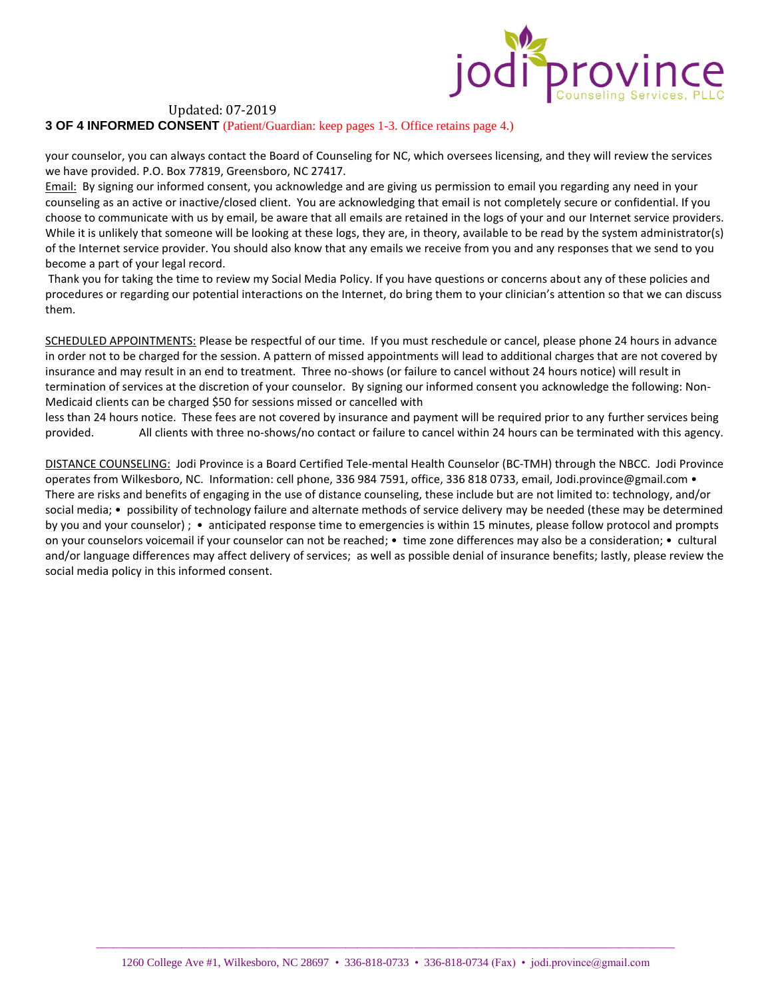

**3 OF 4 INFORMED CONSENT** (Patient/Guardian: keep pages 1-3. Office retains page 4.)

your counselor, you can always contact the Board of Counseling for NC, which oversees licensing, and they will review the services we have provided. P.O. Box 77819, Greensboro, NC 27417.

Email: By signing our informed consent, you acknowledge and are giving us permission to email you regarding any need in your counseling as an active or inactive/closed client. You are acknowledging that email is not completely secure or confidential. If you choose to communicate with us by email, be aware that all emails are retained in the logs of your and our Internet service providers. While it is unlikely that someone will be looking at these logs, they are, in theory, available to be read by the system administrator(s) of the Internet service provider. You should also know that any emails we receive from you and any responses that we send to you become a part of your legal record.

Thank you for taking the time to review my Social Media Policy. If you have questions or concerns about any of these policies and procedures or regarding our potential interactions on the Internet, do bring them to your clinician's attention so that we can discuss them.

SCHEDULED APPOINTMENTS: Please be respectful of our time. If you must reschedule or cancel, please phone 24 hours in advance in order not to be charged for the session. A pattern of missed appointments will lead to additional charges that are not covered by insurance and may result in an end to treatment. Three no-shows (or failure to cancel without 24 hours notice) will result in termination of services at the discretion of your counselor. By signing our informed consent you acknowledge the following: Non-Medicaid clients can be charged \$50 for sessions missed or cancelled with

less than 24 hours notice. These fees are not covered by insurance and payment will be required prior to any further services being provided. All clients with three no-shows/no contact or failure to cancel within 24 hours can be terminated with this agency.

DISTANCE COUNSELING: Jodi Province is a Board Certified Tele-mental Health Counselor (BC-TMH) through the NBCC. Jodi Province operates from Wilkesboro, NC. Information: cell phone, 336 984 7591, office, 336 818 0733, email, Jodi.province@gmail.com • There are risks and benefits of engaging in the use of distance counseling, these include but are not limited to: technology, and/or social media; • possibility of technology failure and alternate methods of service delivery may be needed (these may be determined by you and your counselor) ; • anticipated response time to emergencies is within 15 minutes, please follow protocol and prompts on your counselors voicemail if your counselor can not be reached; • time zone differences may also be a consideration; • cultural and/or language differences may affect delivery of services; as well as possible denial of insurance benefits; lastly, please review the social media policy in this informed consent.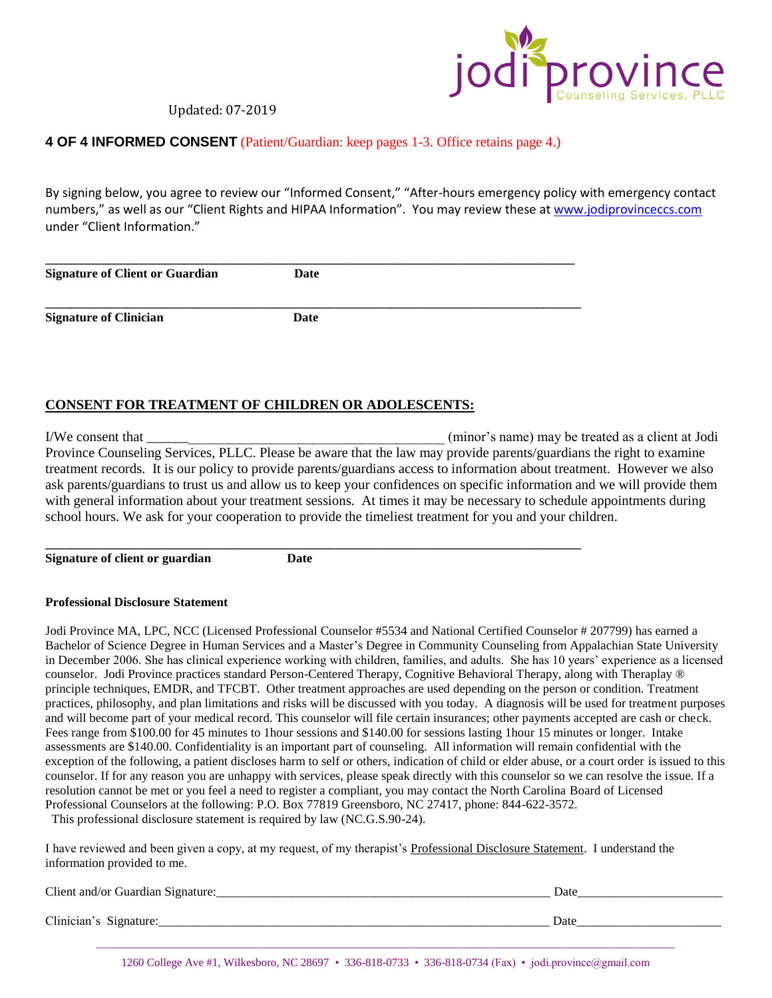

## **4 OF 4 INFORMED CONSENT** (Patient/Guardian: keep pages 1-3. Office retains page 4.)

By signing below, you agree to review our "Informed Consent," "After-hours emergency policy with emergency contact numbers," as well as our "Client Rights and HIPAA Information". You may review these a[t www.jodiprovinceccs.com](http://www.jodiprovinceccs.com/) under "Client Information."

| <b>Signature of Client or Guardian</b> | Date |  |
|----------------------------------------|------|--|
| <b>Signature of Clinician</b>          | Date |  |

# **CONSENT FOR TREATMENT OF CHILDREN OR ADOLESCENTS:**

I/We consent that \_\_\_\_\_\_\_\_\_\_\_\_\_\_\_\_\_\_\_\_\_\_\_\_\_\_\_\_\_\_\_\_\_\_\_\_\_\_\_\_\_\_\_ (minor's name) may be treated as a client at Jodi Province Counseling Services, PLLC. Please be aware that the law may provide parents/guardians the right to examine treatment records. It is our policy to provide parents/guardians access to information about treatment. However we also ask parents/guardians to trust us and allow us to keep your confidences on specific information and we will provide them with general information about your treatment sessions. At times it may be necessary to schedule appointments during school hours. We ask for your cooperation to provide the timeliest treatment for you and your children.

**Signature of client or guardian Date**

**\_\_\_\_\_\_\_\_\_\_\_\_\_\_\_\_\_\_\_\_\_\_\_\_\_\_\_\_\_\_\_\_\_\_\_\_\_\_\_\_\_\_\_\_\_\_\_\_\_\_\_\_\_\_\_\_\_\_\_\_\_\_\_\_\_\_\_\_\_\_\_\_\_\_\_\_\_\_\_\_\_\_\_\_\_**

#### **Professional Disclosure Statement**

Jodi Province MA, LPC, NCC (Licensed Professional Counselor #5534 and National Certified Counselor # 207799) has earned a Bachelor of Science Degree in Human Services and a Master's Degree in Community Counseling from Appalachian State University in December 2006. She has clinical experience working with children, families, and adults. She has 10 years' experience as a licensed counselor. Jodi Province practices standard Person-Centered Therapy, Cognitive Behavioral Therapy, along with Theraplay ® principle techniques, EMDR, and TFCBT. Other treatment approaches are used depending on the person or condition. Treatment practices, philosophy, and plan limitations and risks will be discussed with you today. A diagnosis will be used for treatment purposes and will become part of your medical record. This counselor will file certain insurances; other payments accepted are cash or check. Fees range from \$100.00 for 45 minutes to 1hour sessions and \$140.00 for sessions lasting 1hour 15 minutes or longer. Intake assessments are \$140.00. Confidentiality is an important part of counseling. All information will remain confidential with the exception of the following, a patient discloses harm to self or others, indication of child or elder abuse, or a court order is issued to this counselor. If for any reason you are unhappy with services, please speak directly with this counselor so we can resolve the issue. If a resolution cannot be met or you feel a need to register a compliant, you may contact the North Carolina Board of Licensed Professional Counselors at the following: P.O. Box 77819 Greensboro, NC 27417, phone: 844-622-3572. This professional disclosure statement is required by law (NC.G.S.90-24).

I have reviewed and been given a copy, at my request, of my therapist's Professional Disclosure Statement. I understand the information provided to me.

| Client and/or Guardian Signature: | Date |  |
|-----------------------------------|------|--|
| Clinician's Signature:            | Date |  |
|                                   |      |  |